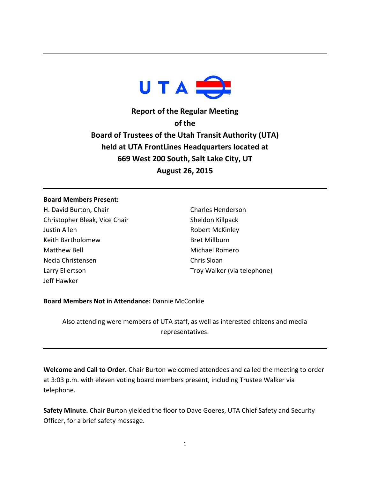

**Report of the Regular Meeting of the Board of Trustees of the Utah Transit Authority (UTA) held at UTA FrontLines Headquarters located at 669 West 200 South, Salt Lake City, UT August 26, 2015**

## **Board Members Present:**

H. David Burton, Chair Christopher Bleak, Vice Chair Justin Allen Keith Bartholomew Matthew Bell Necia Christensen Larry Ellertson Jeff Hawker

Charles Henderson Sheldon Killpack Robert McKinley Bret Millburn Michael Romero Chris Sloan Troy Walker (via telephone)

## **Board Members Not in Attendance:** Dannie McConkie

Also attending were members of UTA staff, as well as interested citizens and media representatives.

**Welcome and Call to Order.** Chair Burton welcomed attendees and called the meeting to order at 3:03 p.m. with eleven voting board members present, including Trustee Walker via telephone.

**Safety Minute.** Chair Burton yielded the floor to Dave Goeres, UTA Chief Safety and Security Officer, for a brief safety message.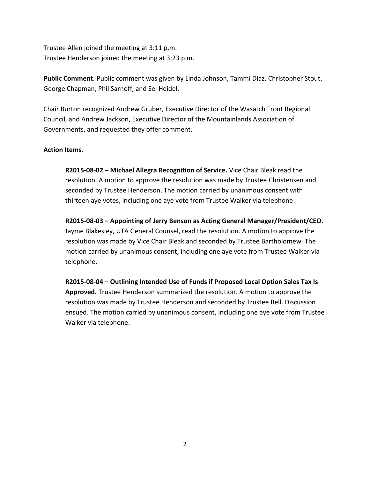Trustee Allen joined the meeting at 3:11 p.m. Trustee Henderson joined the meeting at 3:23 p.m.

**Public Comment.** Public comment was given by Linda Johnson, Tammi Diaz, Christopher Stout, George Chapman, Phil Sarnoff, and Sel Heidel.

Chair Burton recognized Andrew Gruber, Executive Director of the Wasatch Front Regional Council, and Andrew Jackson, Executive Director of the Mountainlands Association of Governments, and requested they offer comment.

## **Action Items.**

**R2015-08-02 – Michael Allegra Recognition of Service.** Vice Chair Bleak read the resolution. A motion to approve the resolution was made by Trustee Christensen and seconded by Trustee Henderson. The motion carried by unanimous consent with thirteen aye votes, including one aye vote from Trustee Walker via telephone.

**R2015-08-03 – Appointing of Jerry Benson as Acting General Manager/President/CEO.**  Jayme Blakesley, UTA General Counsel, read the resolution. A motion to approve the resolution was made by Vice Chair Bleak and seconded by Trustee Bartholomew. The motion carried by unanimous consent, including one aye vote from Trustee Walker via telephone.

**R2015-08-04 – Outlining Intended Use of Funds if Proposed Local Option Sales Tax Is Approved.** Trustee Henderson summarized the resolution. A motion to approve the resolution was made by Trustee Henderson and seconded by Trustee Bell. Discussion ensued. The motion carried by unanimous consent, including one aye vote from Trustee Walker via telephone.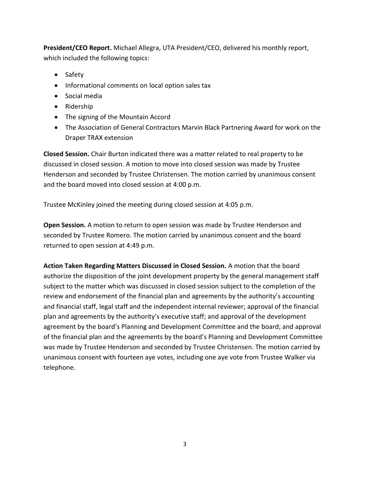**President/CEO Report.** Michael Allegra, UTA President/CEO, delivered his monthly report, which included the following topics:

- Safety
- Informational comments on local option sales tax
- Social media
- Ridership
- The signing of the Mountain Accord
- The Association of General Contractors Marvin Black Partnering Award for work on the Draper TRAX extension

**Closed Session.** Chair Burton indicated there was a matter related to real property to be discussed in closed session. A motion to move into closed session was made by Trustee Henderson and seconded by Trustee Christensen. The motion carried by unanimous consent and the board moved into closed session at 4:00 p.m.

Trustee McKinley joined the meeting during closed session at 4:05 p.m.

**Open Session.** A motion to return to open session was made by Trustee Henderson and seconded by Trustee Romero. The motion carried by unanimous consent and the board returned to open session at 4:49 p.m.

**Action Taken Regarding Matters Discussed in Closed Session.** A motion that the board authorize the disposition of the joint development property by the general management staff subject to the matter which was discussed in closed session subject to the completion of the review and endorsement of the financial plan and agreements by the authority's accounting and financial staff, legal staff and the independent internal reviewer; approval of the financial plan and agreements by the authority's executive staff; and approval of the development agreement by the board's Planning and Development Committee and the board; and approval of the financial plan and the agreements by the board's Planning and Development Committee was made by Trustee Henderson and seconded by Trustee Christensen. The motion carried by unanimous consent with fourteen aye votes, including one aye vote from Trustee Walker via telephone.